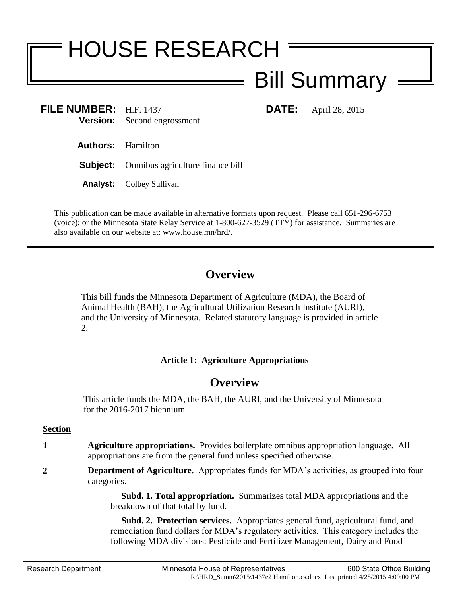# HOUSE RESEARCH

# Bill Summary

**FILE NUMBER:** H.F. 1437 **DATE:** April 28, 2015 **Version:** Second engrossment

- **Authors:** Hamilton
- **Subject:** Omnibus agriculture finance bill
- **Analyst:** Colbey Sullivan

This publication can be made available in alternative formats upon request. Please call 651-296-6753 (voice); or the Minnesota State Relay Service at 1-800-627-3529 (TTY) for assistance. Summaries are also available on our website at: www.house.mn/hrd/.

# **Overview**

This bill funds the Minnesota Department of Agriculture (MDA), the Board of Animal Health (BAH), the Agricultural Utilization Research Institute (AURI), and the University of Minnesota. Related statutory language is provided in article 2.

#### **Article 1: Agriculture Appropriations**

## **Overview**

This article funds the MDA, the BAH, the AURI, and the University of Minnesota for the 2016-2017 biennium.

#### **Section**

- **1 Agriculture appropriations.** Provides boilerplate omnibus appropriation language. All appropriations are from the general fund unless specified otherwise.
- **2 Department of Agriculture.** Appropriates funds for MDA's activities, as grouped into four categories.

 **Subd. 1. Total appropriation.** Summarizes total MDA appropriations and the breakdown of that total by fund.

 **Subd. 2. Protection services.** Appropriates general fund, agricultural fund, and remediation fund dollars for MDA's regulatory activities. This category includes the following MDA divisions: Pesticide and Fertilizer Management, Dairy and Food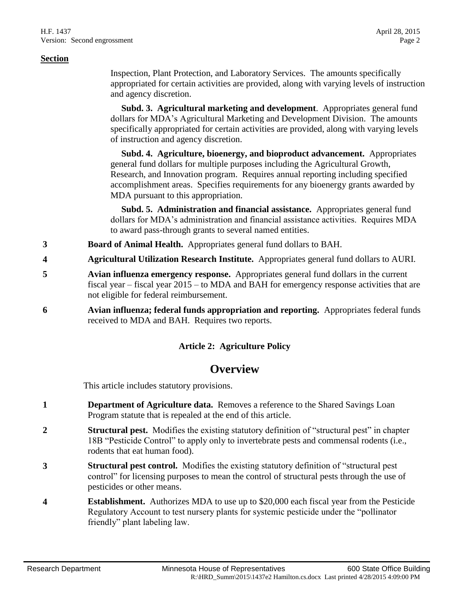Inspection, Plant Protection, and Laboratory Services. The amounts specifically appropriated for certain activities are provided, along with varying levels of instruction and agency discretion.

 **Subd. 3. Agricultural marketing and development**. Appropriates general fund dollars for MDA's Agricultural Marketing and Development Division. The amounts specifically appropriated for certain activities are provided, along with varying levels of instruction and agency discretion.

 **Subd. 4. Agriculture, bioenergy, and bioproduct advancement.** Appropriates general fund dollars for multiple purposes including the Agricultural Growth, Research, and Innovation program. Requires annual reporting including specified accomplishment areas. Specifies requirements for any bioenergy grants awarded by MDA pursuant to this appropriation.

 **Subd. 5. Administration and financial assistance.** Appropriates general fund dollars for MDA's administration and financial assistance activities. Requires MDA to award pass-through grants to several named entities.

- **3 Board of Animal Health.** Appropriates general fund dollars to BAH.
- **4 Agricultural Utilization Research Institute.** Appropriates general fund dollars to AURI.
- **5 Avian influenza emergency response.** Appropriates general fund dollars in the current fiscal year – fiscal year 2015 – to MDA and BAH for emergency response activities that are not eligible for federal reimbursement.
- **6 Avian influenza; federal funds appropriation and reporting.** Appropriates federal funds received to MDA and BAH. Requires two reports.

#### **Article 2: Agriculture Policy**

### **Overview**

This article includes statutory provisions.

- **1 Department of Agriculture data.** Removes a reference to the Shared Savings Loan Program statute that is repealed at the end of this article.
- **2 Structural pest.** Modifies the existing statutory definition of "structural pest" in chapter 18B "Pesticide Control" to apply only to invertebrate pests and commensal rodents (i.e., rodents that eat human food).
- **3 Structural pest control.** Modifies the existing statutory definition of "structural pest control" for licensing purposes to mean the control of structural pests through the use of pesticides or other means.
- **4 Establishment.** Authorizes MDA to use up to \$20,000 each fiscal year from the Pesticide Regulatory Account to test nursery plants for systemic pesticide under the "pollinator friendly" plant labeling law.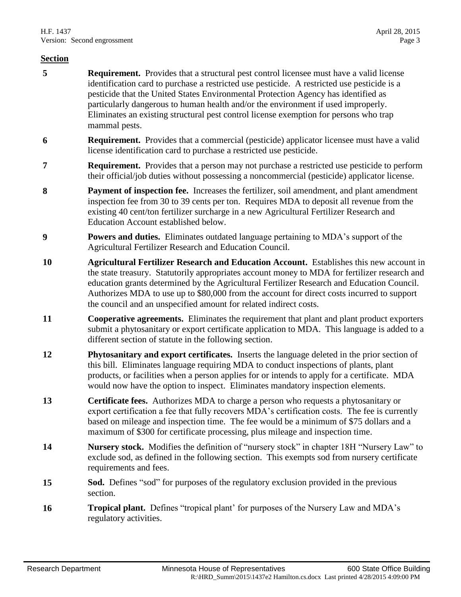- **5 Requirement.** Provides that a structural pest control licensee must have a valid license identification card to purchase a restricted use pesticide. A restricted use pesticide is a pesticide that the United States Environmental Protection Agency has identified as particularly dangerous to human health and/or the environment if used improperly. Eliminates an existing structural pest control license exemption for persons who trap mammal pests.
- **6 Requirement.** Provides that a commercial (pesticide) applicator licensee must have a valid license identification card to purchase a restricted use pesticide.
- **7 Requirement.** Provides that a person may not purchase a restricted use pesticide to perform their official/job duties without possessing a noncommercial (pesticide) applicator license.
- **8 Payment of inspection fee.** Increases the fertilizer, soil amendment, and plant amendment inspection fee from 30 to 39 cents per ton. Requires MDA to deposit all revenue from the existing 40 cent/ton fertilizer surcharge in a new Agricultural Fertilizer Research and Education Account established below.
- **9 Powers and duties.** Eliminates outdated language pertaining to MDA's support of the Agricultural Fertilizer Research and Education Council.
- **10 Agricultural Fertilizer Research and Education Account.** Establishes this new account in the state treasury. Statutorily appropriates account money to MDA for fertilizer research and education grants determined by the Agricultural Fertilizer Research and Education Council. Authorizes MDA to use up to \$80,000 from the account for direct costs incurred to support the council and an unspecified amount for related indirect costs.
- **11 Cooperative agreements.** Eliminates the requirement that plant and plant product exporters submit a phytosanitary or export certificate application to MDA. This language is added to a different section of statute in the following section.
- **12 Phytosanitary and export certificates.** Inserts the language deleted in the prior section of this bill. Eliminates language requiring MDA to conduct inspections of plants, plant products, or facilities when a person applies for or intends to apply for a certificate. MDA would now have the option to inspect. Eliminates mandatory inspection elements.
- **13 Certificate fees.** Authorizes MDA to charge a person who requests a phytosanitary or export certification a fee that fully recovers MDA's certification costs. The fee is currently based on mileage and inspection time. The fee would be a minimum of \$75 dollars and a maximum of \$300 for certificate processing, plus mileage and inspection time.
- **14 Nursery stock.** Modifies the definition of "nursery stock" in chapter 18H "Nursery Law" to exclude sod, as defined in the following section. This exempts sod from nursery certificate requirements and fees.
- **15 Sod.** Defines "sod" for purposes of the regulatory exclusion provided in the previous section.
- **16 Tropical plant.** Defines "tropical plant' for purposes of the Nursery Law and MDA's regulatory activities.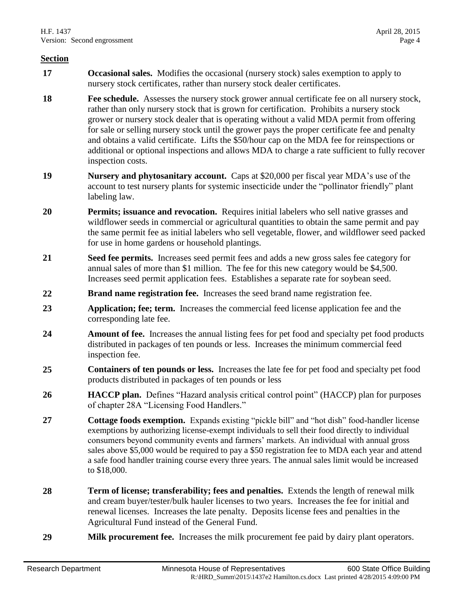- **17 Occasional sales.** Modifies the occasional (nursery stock) sales exemption to apply to nursery stock certificates, rather than nursery stock dealer certificates.
- **18 Fee schedule.** Assesses the nursery stock grower annual certificate fee on all nursery stock, rather than only nursery stock that is grown for certification. Prohibits a nursery stock grower or nursery stock dealer that is operating without a valid MDA permit from offering for sale or selling nursery stock until the grower pays the proper certificate fee and penalty and obtains a valid certificate. Lifts the \$50/hour cap on the MDA fee for reinspections or additional or optional inspections and allows MDA to charge a rate sufficient to fully recover inspection costs.
- **19 Nursery and phytosanitary account.** Caps at \$20,000 per fiscal year MDA's use of the account to test nursery plants for systemic insecticide under the "pollinator friendly" plant labeling law.
- **20 Permits; issuance and revocation.** Requires initial labelers who sell native grasses and wildflower seeds in commercial or agricultural quantities to obtain the same permit and pay the same permit fee as initial labelers who sell vegetable, flower, and wildflower seed packed for use in home gardens or household plantings.
- **21 Seed fee permits.** Increases seed permit fees and adds a new gross sales fee category for annual sales of more than \$1 million. The fee for this new category would be \$4,500. Increases seed permit application fees. Establishes a separate rate for soybean seed.
- **22 Brand name registration fee.** Increases the seed brand name registration fee.
- **23 Application; fee; term.** Increases the commercial feed license application fee and the corresponding late fee.
- **24 Amount of fee.** Increases the annual listing fees for pet food and specialty pet food products distributed in packages of ten pounds or less. Increases the minimum commercial feed inspection fee.
- **25 Containers of ten pounds or less.** Increases the late fee for pet food and specialty pet food products distributed in packages of ten pounds or less
- **26 HACCP plan.** Defines "Hazard analysis critical control point" (HACCP) plan for purposes of chapter 28A "Licensing Food Handlers."
- **27 Cottage foods exemption.** Expands existing "pickle bill" and "hot dish" food-handler license exemptions by authorizing license-exempt individuals to sell their food directly to individual consumers beyond community events and farmers' markets. An individual with annual gross sales above \$5,000 would be required to pay a \$50 registration fee to MDA each year and attend a safe food handler training course every three years. The annual sales limit would be increased to \$18,000.
- **28 Term of license; transferability; fees and penalties.** Extends the length of renewal milk and cream buyer/tester/bulk hauler licenses to two years. Increases the fee for initial and renewal licenses. Increases the late penalty. Deposits license fees and penalties in the Agricultural Fund instead of the General Fund.
- **29 Milk procurement fee.** Increases the milk procurement fee paid by dairy plant operators.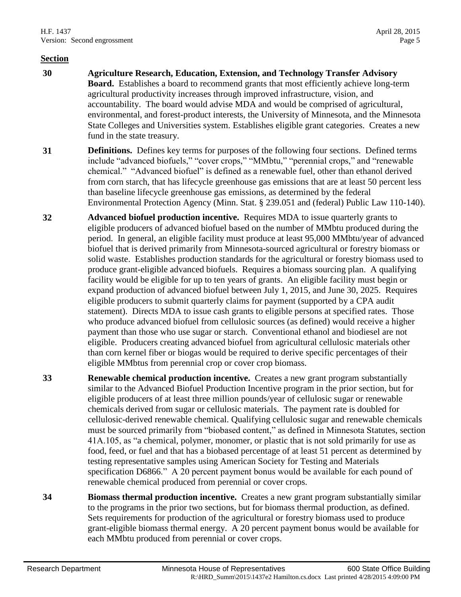- **30 Agriculture Research, Education, Extension, and Technology Transfer Advisory Board.** Establishes a board to recommend grants that most efficiently achieve long-term agricultural productivity increases through improved infrastructure, vision, and accountability. The board would advise MDA and would be comprised of agricultural, environmental, and forest-product interests, the University of Minnesota, and the Minnesota State Colleges and Universities system. Establishes eligible grant categories. Creates a new fund in the state treasury.
- **31 Definitions.** Defines key terms for purposes of the following four sections. Defined terms include "advanced biofuels," "cover crops," "MMbtu," "perennial crops," and "renewable chemical." "Advanced biofuel" is defined as a renewable fuel, other than ethanol derived from corn starch, that has lifecycle greenhouse gas emissions that are at least 50 percent less than baseline lifecycle greenhouse gas emissions, as determined by the federal Environmental Protection Agency (Minn. Stat. § 239.051 and (federal) Public Law 110-140).
- **32 Advanced biofuel production incentive.** Requires MDA to issue quarterly grants to eligible producers of advanced biofuel based on the number of MMbtu produced during the period. In general, an eligible facility must produce at least 95,000 MMbtu/year of advanced biofuel that is derived primarily from Minnesota-sourced agricultural or forestry biomass or solid waste. Establishes production standards for the agricultural or forestry biomass used to produce grant-eligible advanced biofuels. Requires a biomass sourcing plan. A qualifying facility would be eligible for up to ten years of grants. An eligible facility must begin or expand production of advanced biofuel between July 1, 2015, and June 30, 2025. Requires eligible producers to submit quarterly claims for payment (supported by a CPA audit statement). Directs MDA to issue cash grants to eligible persons at specified rates. Those who produce advanced biofuel from cellulosic sources (as defined) would receive a higher payment than those who use sugar or starch. Conventional ethanol and biodiesel are not eligible. Producers creating advanced biofuel from agricultural cellulosic materials other than corn kernel fiber or biogas would be required to derive specific percentages of their eligible MMbtus from perennial crop or cover crop biomass.
- **33 Renewable chemical production incentive.** Creates a new grant program substantially similar to the Advanced Biofuel Production Incentive program in the prior section, but for eligible producers of at least three million pounds/year of cellulosic sugar or renewable chemicals derived from sugar or cellulosic materials. The payment rate is doubled for cellulosic-derived renewable chemical. Qualifying cellulosic sugar and renewable chemicals must be sourced primarily from "biobased content," as defined in Minnesota Statutes, section 41A.105, as "a chemical, polymer, monomer, or plastic that is not sold primarily for use as food, feed, or fuel and that has a biobased percentage of at least 51 percent as determined by testing representative samples using American Society for Testing and Materials specification D6866." A 20 percent payment bonus would be available for each pound of renewable chemical produced from perennial or cover crops.
- **34 Biomass thermal production incentive.** Creates a new grant program substantially similar to the programs in the prior two sections, but for biomass thermal production, as defined. Sets requirements for production of the agricultural or forestry biomass used to produce grant-eligible biomass thermal energy. A 20 percent payment bonus would be available for each MMbtu produced from perennial or cover crops.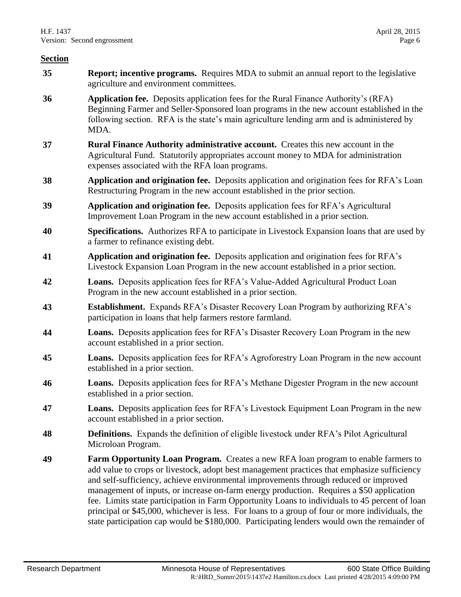- **35 Report; incentive programs.** Requires MDA to submit an annual report to the legislative agriculture and environment committees.
- **36 Application fee.** Deposits application fees for the Rural Finance Authority's (RFA) Beginning Farmer and Seller-Sponsored loan programs in the new account established in the following section. RFA is the state's main agriculture lending arm and is administered by MDA.
- **37 Rural Finance Authority administrative account.** Creates this new account in the Agricultural Fund. Statutorily appropriates account money to MDA for administration expenses associated with the RFA loan programs.
- **38 Application and origination fee.** Deposits application and origination fees for RFA's Loan Restructuring Program in the new account established in the prior section.
- **39 Application and origination fee.** Deposits application fees for RFA's Agricultural Improvement Loan Program in the new account established in a prior section.
- **40 Specifications.** Authorizes RFA to participate in Livestock Expansion loans that are used by a farmer to refinance existing debt.
- **41 Application and origination fee.** Deposits application and origination fees for RFA's Livestock Expansion Loan Program in the new account established in a prior section.
- **42 Loans.** Deposits application fees for RFA's Value-Added Agricultural Product Loan Program in the new account established in a prior section.
- **43 Establishment.** Expands RFA's Disaster Recovery Loan Program by authorizing RFA's participation in loans that help farmers restore farmland.
- **44 Loans.** Deposits application fees for RFA's Disaster Recovery Loan Program in the new account established in a prior section.
- **45 Loans.** Deposits application fees for RFA's Agroforestry Loan Program in the new account established in a prior section.
- **46 Loans.** Deposits application fees for RFA's Methane Digester Program in the new account established in a prior section.
- **47 Loans.** Deposits application fees for RFA's Livestock Equipment Loan Program in the new account established in a prior section.
- **48 Definitions.** Expands the definition of eligible livestock under RFA's Pilot Agricultural Microloan Program.
- **49 Farm Opportunity Loan Program.** Creates a new RFA loan program to enable farmers to add value to crops or livestock, adopt best management practices that emphasize sufficiency and self-sufficiency, achieve environmental improvements through reduced or improved management of inputs, or increase on-farm energy production. Requires a \$50 application fee. Limits state participation in Farm Opportunity Loans to individuals to 45 percent of loan principal or \$45,000, whichever is less. For loans to a group of four or more individuals, the state participation cap would be \$180,000. Participating lenders would own the remainder of